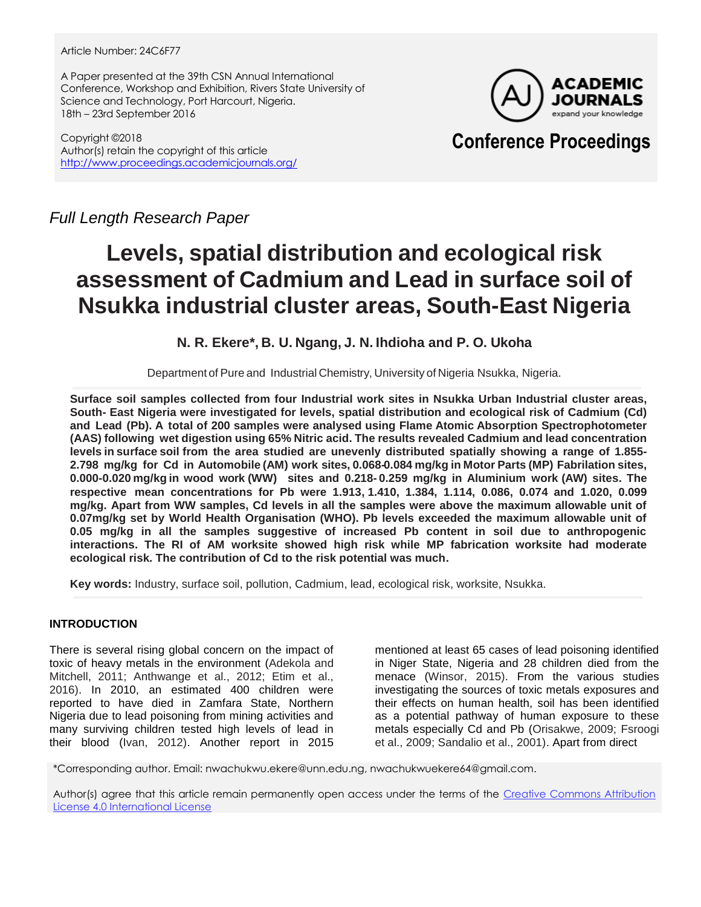#### Article Number: 24C6F77

A Paper presented at the 39th CSN Annual International Conference, Workshop and Exhibition, Rivers State University of Science and Technology, Port Harcourt, Nigeria. 18th – 23rd September 2016

Copyright ©2018 Author(s) retain the copyright of this article <http://www.proceedings.academicjournals.org/>



## **Conference Proceedings**

*Full Length Research Paper*

# **Levels, spatial distribution and ecological risk assessment of Cadmium and Lead in surface soil of Nsukka industrial cluster areas, South-East Nigeria**

**N. R. Ekere\*, B. U. Ngang, J. N. Ihdioha and P. O. Ukoha**

Department of Pure and Industrial Chemistry, University of Nigeria Nsukka, Nigeria.

**Surface soil samples collected from four Industrial work sites in Nsukka Urban Industrial cluster areas, South- East Nigeria were investigated for levels, spatial distribution and ecological risk of Cadmium (Cd) and Lead (Pb). A total of 200 samples were analysed using Flame Atomic Absorption Spectrophotometer (AAS) following wet digestion using 65% Nitric acid. The results revealed Cadmium and lead concentration levels in surface soil from the area studied are unevenly distributed spatially showing a range of 1.855- 2.798 mg/kg for Cd in Automobile (AM) work sites, 0.068-0.084 mg/kg in Motor Parts (MP) Fabrilation sites, 0.000-0.020 mg/kg in wood work (WW) sites and 0.218- 0.259 mg/kg in Aluminium work (AW) sites. The respective mean concentrations for Pb were 1.913,1.410, 1.384, 1.114, 0.086, 0.074 and 1.020, 0.099 mg/kg. Apart from WW samples, Cd levels in all the samples were above the maximum allowable unit of 0.07mg/kg set by World Health Organisation (WHO). Pb levels exceeded the maximum allowable unit of 0.05 mg/kg in all the samples suggestive of increased Pb content in soil due to anthropogenic interactions. The RI of AM worksite showed high risk while MP fabrication worksite had moderate ecological risk. The contribution of Cd to the risk potential was much.**

**Key words:** Industry, surface soil, pollution, Cadmium, lead, ecological risk, worksite, Nsukka.

### **INTRODUCTION**

There is several rising global concern on the impact of toxic of heavy metals in the environment (Adekola and Mitchell, 2011; Anthwange et al., 2012; Etim et al., 2016). In 2010, an estimated 400 children were reported to have died in Zamfara State, Northern Nigeria due to lead poisoning from mining activities and many surviving children tested high levels of lead in their blood (Ivan, 2012). Another report in 2015

mentioned at least 65 cases of lead poisoning identified in Niger State, Nigeria and 28 children died from the menace (Winsor, 2015). From the various studies investigating the sources of toxic metals exposures and their effects on human health, soil has been identified as a potential pathway of human exposure to these metals especially Cd and Pb (Orisakwe, 2009; Fsroogi et al., 2009; Sandalio et al., 2001). Apart from direct

\*Corresponding author. Email: nwachukwu.ekere@unn.edu.ng, nwachukwuekere64@gmail.com.

Author(s) agree that this article remain permanently open access under the terms of the Creative Commons Attribution [License 4.0 International License](http://creativecommons.org/licenses/by/4.0/deed.en_US)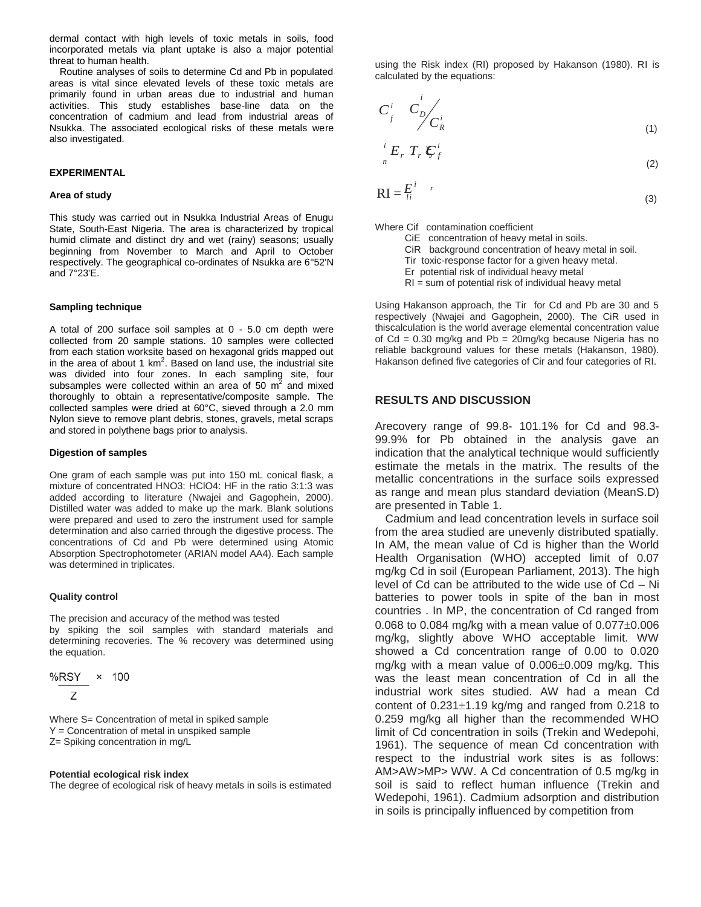dermal contact with high levels of toxic metals in soils, food incorporated metals via plant uptake is also a major potential threat to human health.

Routine analyses of soils to determine Cd and Pb in populated areas is vital since elevated levels of these toxic metals are primarily found in urban areas due to industrial and human activities. This study establishes base-line data on the concentration of cadmium and lead from industrial areas of Nsukka. The associated ecological risks of these metals were also investigated.

#### **EXPERIMENTAL**

#### **Area of study**

This study was carried out in Nsukka Industrial Areas of Enugu State, South-East Nigeria. The area is characterized by tropical humid climate and distinct dry and wet (rainy) seasons; usually beginning from November to March and April to October respectively. The geographical co-ordinates of Nsukka are 6°52'N and 7°23'E.

#### **Sampling technique**

A total of 200 surface soil samples at 0 - 5.0 cm depth were collected from 20 sample stations. 10 samples were collected from each station worksite based on hexagonal grids mapped out in the area of about 1  $km^2$ . Based on land use, the industrial site was divided into four zones. In each sampling site, four subsamples were collected within an area of 50  $m<sup>2</sup>$  and mixed thoroughly to obtain a representative/composite sample. The collected samples were dried at 60°C, sieved through a 2.0 mm Nylon sieve to remove plant debris, stones, gravels, metal scraps and stored in polythene bags prior to analysis.

#### **Digestion of samples**

One gram of each sample was put into 150 mL conical flask, a mixture of concentrated HNO3: HClO4: HF in the ratio 3:1:3 was added according to literature (Nwajei and Gagophein, 2000). Distilled water was added to make up the mark. Blank solutions were prepared and used to zero the instrument used for sample determination and also carried through the digestive process. The concentrations of Cd and Pb were determined using Atomic Absorption Spectrophotometer (ARIAN model AA4). Each sample was determined in triplicates.

#### **Quality control**

The precision and accuracy of the method was tested by spiking the soil samples with standard materials and determining recoveries. The % recovery was determined using the equation.

$$
\frac{\%RSY}{Z} \times 100
$$

Where S= Concentration of metal in spiked sample Y = Concentration of metal in unspiked sample Z= Spiking concentration in mg/L

#### **Potential ecological risk index**

The degree of ecological risk of heavy metals in soils is estimated

using the Risk index (RI) proposed by Hakanson (1980). RI is calculated by the equations: proposed by the equations.

$$
C_j^i \quad C_D^i \over C_R^i \tag{1}
$$

$$
\frac{i}{n}E_r T_r \mathcal{E}_f^i \tag{2}
$$

$$
RI = \frac{E^i}{li} \tag{3}
$$

Where Cif contamination coefficient

- CiE concentration of heavy metal in soils.
- CiR background concentration of heavy metal in soil.
- Tir toxic-response factor for a given heavy metal.
- Er potential risk of individual heavy metal
- RI = sum of potential risk of individual heavy metal

Using Hakanson approach, the Tir for Cd and Pb are 30 and 5 respectively (Nwajei and Gagophein, 2000). The CiR used in thiscalculation is the world average elemental concentration value of  $Cd = 0.30$  mg/kg and  $Pb = 20$ mg/kg because Nigeria has no reliable background values for these metals (Hakanson, 1980). Hakanson defined five categories of Cir and four categories of RI.

#### **RESULTS AND DISCUSSION**

Arecovery range of 99.8- 101.1% for Cd and 98.3- 99.9% for Pb obtained in the analysis gave an indication that the analytical technique would sufficiently estimate the metals in the matrix. The results of the metallic concentrations in the surface soils expressed as range and mean plus standard deviation (MeanS.D) are presented in Table 1.

Cadmium and lead concentration levels in surface soil from the area studied are unevenly distributed spatially. In AM, the mean value of Cd is higher than the World Health Organisation (WHO) accepted limit of 0.07 mg/kg Cd in soil (European Parliament, 2013). The high level of Cd can be attributed to the wide use of Cd – Ni batteries to power tools in spite of the ban in most countries . In MP, the concentration of Cd ranged from 0.068 to 0.084 mg/kg with a mean value of  $0.077\pm0.006$ mg/kg, slightly above WHO acceptable limit. WW showed a Cd concentration range of 0.00 to 0.020 mg/kg with a mean value of  $0.006\pm0.009$  mg/kg. This was the least mean concentration of Cd in all the industrial work sites studied. AW had a mean Cd content of  $0.231 \pm 1.19$  kg/mg and ranged from 0.218 to 0.259 mg/kg all higher than the recommended WHO limit of Cd concentration in soils (Trekin and Wedepohi, 1961). The sequence of mean Cd concentration with respect to the industrial work sites is as follows: AM>AW>MP> WW. A Cd concentration of 0.5 mg/kg in soil is said to reflect human influence (Trekin and Wedepohi, 1961). Cadmium adsorption and distribution in soils is principally influenced by competition from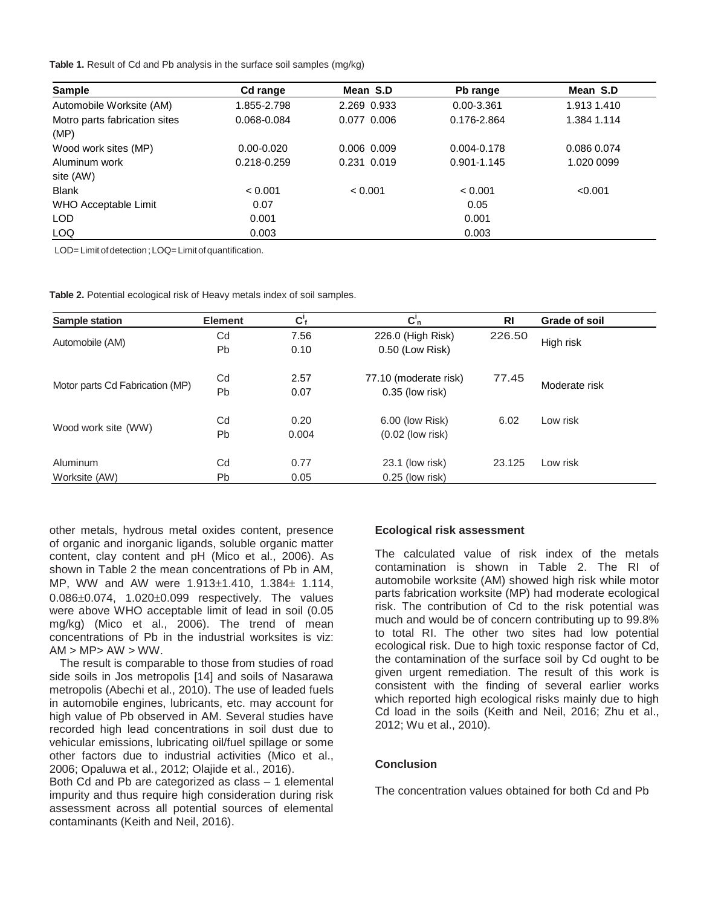**Table 1.** Result of Cd and Pb analysis in the surface soil samples (mg/kg)

| <b>Sample</b>                         | Cd range       | Mean S.D      | Pb range        | Mean S.D    |
|---------------------------------------|----------------|---------------|-----------------|-------------|
| Automobile Worksite (AM)              | 1.855-2.798    | 2.269 0.933   | 0.00-3.361      | 1.913 1.410 |
| Motro parts fabrication sites<br>(MP) | 0.068-0.084    | 0.077 0.006   | 0.176-2.864     | 1.384 1.114 |
| Wood work sites (MP)                  | $0.00 - 0.020$ | $0.006$ 0.009 | $0.004 - 0.178$ | 0.086 0.074 |
| Aluminum work                         | 0.218-0.259    | 0.231 0.019   | 0.901-1.145     | 1.020 0099  |
| site (AW)                             |                |               |                 |             |
| <b>Blank</b>                          | < 0.001        | < 0.001       | < 0.001         | < 0.001     |
| WHO Acceptable Limit                  | 0.07           |               | 0.05            |             |
| <b>LOD</b>                            | 0.001          |               | 0.001           |             |
| LOQ                                   | 0.003          |               | 0.003           |             |

LOD= Limit of detection; LOQ=Limit of quantification.

**Table 2.** Potential ecological risk of Heavy metals index of soil samples.

| Sample station                  | <b>Element</b> | $C_f'$ | $C_n$                 | <b>RI</b> | Grade of soil |  |
|---------------------------------|----------------|--------|-----------------------|-----------|---------------|--|
| Automobile (AM)                 | Cd             | 7.56   | 226.0 (High Risk)     | 226.50    |               |  |
|                                 | <b>Pb</b>      | 0.10   | 0.50 (Low Risk)       |           | High risk     |  |
| Motor parts Cd Fabrication (MP) | Cd             | 2.57   | 77.10 (moderate risk) | 77.45     | Moderate risk |  |
|                                 | <b>Pb</b>      | 0.07   | $0.35$ (low risk)     |           |               |  |
| Wood work site (WW)             | Cd             | 0.20   | 6.00 (low Risk)       | 6.02      | Low risk      |  |
|                                 | <b>Pb</b>      | 0.004  | $(0.02$ (low risk)    |           |               |  |
| <b>Aluminum</b>                 | Cd             | 0.77   | 23.1 (low risk)       | 23.125    | Low risk      |  |
| Worksite (AW)                   | <b>Pb</b>      | 0.05   | $0.25$ (low risk)     |           |               |  |

other metals, hydrous metal oxides content, presence of organic and inorganic ligands, soluble organic matter content, clay content and pH (Mico et al., 2006). As shown in Table 2 the mean concentrations of Pb in AM, MP, WW and AW were  $1.913 \pm 1.410$ ,  $1.384 \pm 1.114$ ,  $0.086 \pm 0.074$ ,  $1.020 \pm 0.099$  respectively. The values were above WHO acceptable limit of lead in soil (0.05 mg/kg) (Mico et al., 2006). The trend of mean concentrations of Pb in the industrial worksites is viz:  $AM > MP > AW > WW$ .

The result is comparable to those from studies of road side soils in Jos metropolis [14] and soils of Nasarawa metropolis (Abechi et al., 2010). The use of leaded fuels in automobile engines, lubricants, etc. may account for high value of Pb observed in AM. Several studies have recorded high lead concentrations in soil dust due to vehicular emissions, lubricating oil/fuel spillage or some other factors due to industrial activities (Mico et al., 2006; Opaluwa et al., 2012; Olajide et al., 2016).

Both Cd and Pb are categorized as class – 1 elemental impurity and thus require high consideration during risk assessment across all potential sources of elemental contaminants (Keith and Neil, 2016).

#### **Ecological risk assessment**

The calculated value of risk index of the metals contamination is shown in Table 2. The RI of automobile worksite (AM) showed high risk while motor parts fabrication worksite (MP) had moderate ecological risk. The contribution of Cd to the risk potential was much and would be of concern contributing up to 99.8% to total RI. The other two sites had low potential ecological risk. Due to high toxic response factor of Cd, the contamination of the surface soil by Cd ought to be given urgent remediation. The result of this work is consistent with the finding of several earlier works which reported high ecological risks mainly due to high Cd load in the soils (Keith and Neil, 2016; Zhu et al., 2012; Wu et al., 2010).

#### **Conclusion**

The concentration values obtained for both Cd and Pb